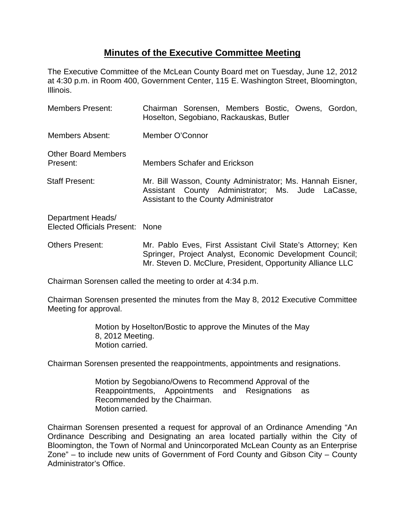## **Minutes of the Executive Committee Meeting**

The Executive Committee of the McLean County Board met on Tuesday, June 12, 2012 at 4:30 p.m. in Room 400, Government Center, 115 E. Washington Street, Bloomington, Illinois.

| <b>Members Present:</b>                              | Chairman Sorensen, Members Bostic, Owens, Gordon,<br>Hoselton, Segobiano, Rackauskas, Butler                                                            |
|------------------------------------------------------|---------------------------------------------------------------------------------------------------------------------------------------------------------|
| Members Absent:                                      | Member O'Connor                                                                                                                                         |
| <b>Other Board Members</b><br>Present:               | <b>Members Schafer and Erickson</b>                                                                                                                     |
| <b>Staff Present:</b>                                | Mr. Bill Wasson, County Administrator; Ms. Hannah Eisner,<br>Assistant County Administrator; Ms. Jude LaCasse,<br>Assistant to the County Administrator |
| Department Heads/<br>Elected Officials Present: None |                                                                                                                                                         |
| <b>Others Present:</b>                               | Mr. Pablo Eves, First Assistant Civil State's Attorney; Ken<br>Springer, Project Analyst, Economic Development Council;                                 |

Chairman Sorensen called the meeting to order at 4:34 p.m.

Chairman Sorensen presented the minutes from the May 8, 2012 Executive Committee Meeting for approval.

Mr. Steven D. McClure, President, Opportunity Alliance LLC

Motion by Hoselton/Bostic to approve the Minutes of the May 8, 2012 Meeting. Motion carried.

Chairman Sorensen presented the reappointments, appointments and resignations.

Motion by Segobiano/Owens to Recommend Approval of the Reappointments, Appointments and Resignations as Recommended by the Chairman. Motion carried.

Chairman Sorensen presented a request for approval of an Ordinance Amending "An Ordinance Describing and Designating an area located partially within the City of Bloomington, the Town of Normal and Unincorporated McLean County as an Enterprise Zone" – to include new units of Government of Ford County and Gibson City – County Administrator's Office.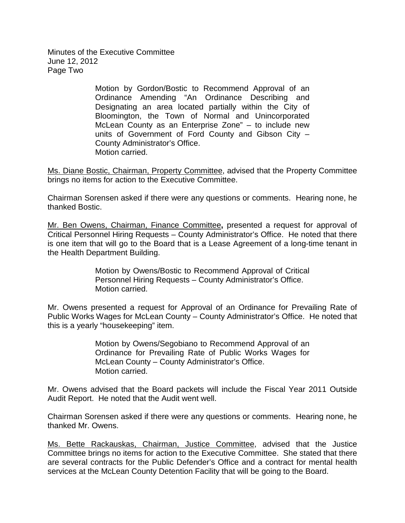Minutes of the Executive Committee June 12, 2012 Page Two

> Motion by Gordon/Bostic to Recommend Approval of an Ordinance Amending "An Ordinance Describing and Designating an area located partially within the City of Bloomington, the Town of Normal and Unincorporated McLean County as an Enterprise Zone" – to include new units of Government of Ford County and Gibson City – County Administrator's Office. Motion carried.

Ms. Diane Bostic, Chairman, Property Committee, advised that the Property Committee brings no items for action to the Executive Committee.

Chairman Sorensen asked if there were any questions or comments. Hearing none, he thanked Bostic.

Mr. Ben Owens, Chairman, Finance Committee**,** presented a request for approval of Critical Personnel Hiring Requests – County Administrator's Office. He noted that there is one item that will go to the Board that is a Lease Agreement of a long-time tenant in the Health Department Building.

> Motion by Owens/Bostic to Recommend Approval of Critical Personnel Hiring Requests – County Administrator's Office. Motion carried.

Mr. Owens presented a request for Approval of an Ordinance for Prevailing Rate of Public Works Wages for McLean County – County Administrator's Office. He noted that this is a yearly "housekeeping" item.

> Motion by Owens/Segobiano to Recommend Approval of an Ordinance for Prevailing Rate of Public Works Wages for McLean County – County Administrator's Office. Motion carried.

Mr. Owens advised that the Board packets will include the Fiscal Year 2011 Outside Audit Report. He noted that the Audit went well.

Chairman Sorensen asked if there were any questions or comments. Hearing none, he thanked Mr. Owens.

Ms. Bette Rackauskas, Chairman, Justice Committee, advised that the Justice Committee brings no items for action to the Executive Committee. She stated that there are several contracts for the Public Defender's Office and a contract for mental health services at the McLean County Detention Facility that will be going to the Board.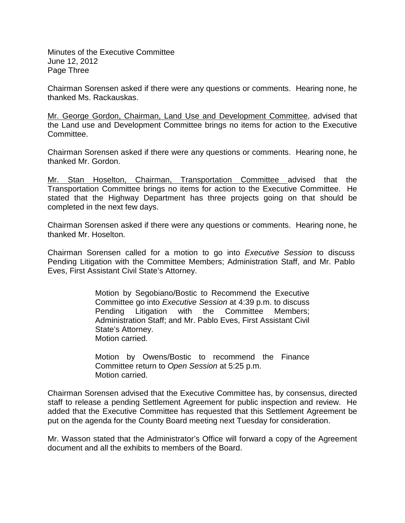Minutes of the Executive Committee June 12, 2012 Page Three

Chairman Sorensen asked if there were any questions or comments. Hearing none, he thanked Ms. Rackauskas.

Mr. George Gordon, Chairman, Land Use and Development Committee, advised that the Land use and Development Committee brings no items for action to the Executive Committee.

Chairman Sorensen asked if there were any questions or comments. Hearing none, he thanked Mr. Gordon.

Mr. Stan Hoselton, Chairman, Transportation Committee advised that the Transportation Committee brings no items for action to the Executive Committee. He stated that the Highway Department has three projects going on that should be completed in the next few days.

Chairman Sorensen asked if there were any questions or comments. Hearing none, he thanked Mr. Hoselton.

Chairman Sorensen called for a motion to go into *Executive Session* to discuss Pending Litigation with the Committee Members; Administration Staff, and Mr. Pablo Eves, First Assistant Civil State's Attorney.

> Motion by Segobiano/Bostic to Recommend the Executive Committee go into *Executive Session* at 4:39 p.m. to discuss Pending Litigation with the Committee Members; Administration Staff; and Mr. Pablo Eves, First Assistant Civil State's Attorney. Motion carried.

> Motion by Owens/Bostic to recommend the Finance Committee return to *Open Session* at 5:25 p.m. Motion carried.

Chairman Sorensen advised that the Executive Committee has, by consensus, directed staff to release a pending Settlement Agreement for public inspection and review. He added that the Executive Committee has requested that this Settlement Agreement be put on the agenda for the County Board meeting next Tuesday for consideration.

Mr. Wasson stated that the Administrator's Office will forward a copy of the Agreement document and all the exhibits to members of the Board.